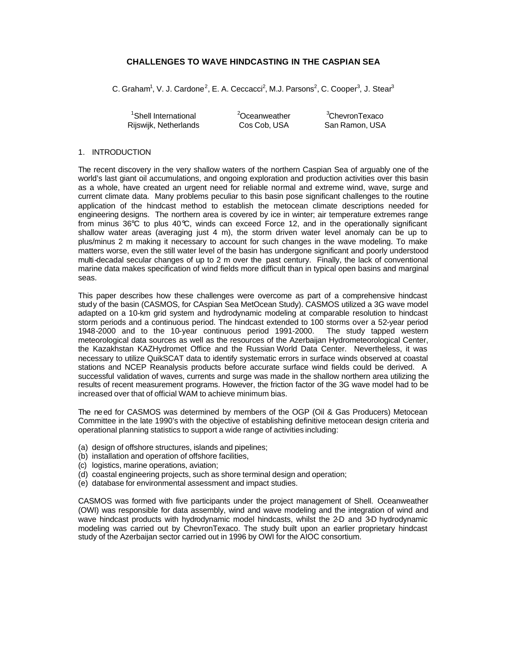# **CHALLENGES TO WAVE HINDCASTING IN THE CASPIAN SEA**

C. Graham<sup>1</sup>, V. J. Cardone<sup>2</sup>, E. A. Ceccacci<sup>2</sup>, M.J. Parsons<sup>2</sup>, C. Cooper<sup>3</sup>, J. Stear<sup>3</sup>

 $\frac{1}{2}$ Shell International  $\frac{2}{2}$ Oceanweather  $\frac{3}{2}$ ChevronTexaco<br>2005 - Cos Cob. USA San Ramon. USA Rijswijk, Netherlands Cos Cob, USA San Ramon, USA

## 1. INTRODUCTION

The recent discovery in the very shallow waters of the northern Caspian Sea of arguably one of the world's last giant oil accumulations, and ongoing exploration and production activities over this basin as a whole, have created an urgent need for reliable normal and extreme wind, wave, surge and current climate data. Many problems peculiar to this basin pose significant challenges to the routine application of the hindcast method to establish the metocean climate descriptions needed for engineering designs. The northern area is covered by ice in winter; air temperature extremes range from minus 36°C to plus 40°C, winds can exceed Force 12, and in the operationally significant shallow water areas (averaging just 4 m), the storm driven water level anomaly can be up to plus/minus 2 m making it necessary to account for such changes in the wave modeling. To make matters worse, even the still water level of the basin has undergone significant and poorly understood multi-decadal secular changes of up to 2 m over the past century. Finally, the lack of conventional marine data makes specification of wind fields more difficult than in typical open basins and marginal seas.

This paper describes how these challenges were overcome as part of a comprehensive hindcast study of the basin (CASMOS, for CAspian Sea MetOcean Study). CASMOS utilized a 3G wave model adapted on a 10-km grid system and hydrodynamic modeling at comparable resolution to hindcast storm periods and a continuous period. The hindcast extended to 100 storms over a 52-year period 1948-2000 and to the 10-year continuous period 1991-2000. The study tapped western meteorological data sources as well as the resources of the Azerbaijan Hydrometeorological Center, the Kazakhstan KAZHydromet Office and the Russian World Data Center. Nevertheless, it was necessary to utilize QuikSCAT data to identify systematic errors in surface winds observed at coastal stations and NCEP Reanalysis products before accurate surface wind fields could be derived. A successful validation of waves, currents and surge was made in the shallow northern area utilizing the results of recent measurement programs. However, the friction factor of the 3G wave model had to be increased over that of official WAM to achieve minimum bias.

The need for CASMOS was determined by members of the OGP (Oil & Gas Producers) Metocean Committee in the late 1990's with the objective of establishing definitive metocean design criteria and operational planning statistics to support a wide range of activities including:

- (a) design of offshore structures, islands and pipelines;
- (b) installation and operation of offshore facilities,
- (c) logistics, marine operations, aviation;
- (d) coastal engineering projects, such as shore terminal design and operation;
- (e) database for environmental assessment and impact studies.

CASMOS was formed with five participants under the project management of Shell. Oceanweather (OWI) was responsible for data assembly, wind and wave modeling and the integration of wind and wave hindcast products with hydrodynamic model hindcasts, whilst the 2-D and 3-D hydrodynamic modeling was carried out by ChevronTexaco. The study built upon an earlier proprietary hindcast study of the Azerbaijan sector carried out in 1996 by OWI for the AIOC consortium.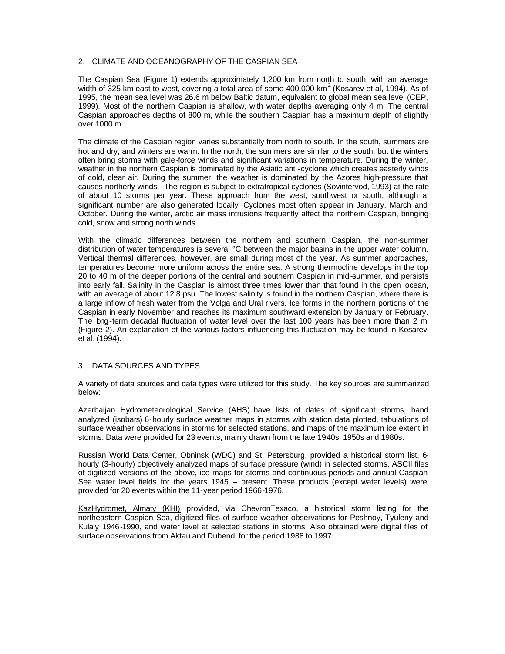## 2. CLIMATE AND OCEANOGRAPHY OF THE CASPIAN SEA

The Caspian Sea (Figure 1) extends approximately 1,200 km from north to south, with an average width of 325 km east to west, covering a total area of some 400,000 km<sup>2</sup> (Kosarev et al, 1994). As of 1995, the mean sea level was 26.6 m below Baltic datum, equivalent to global mean sea level (CEP, 1999). Most of the northern Caspian is shallow, with water depths averaging only 4 m. The central Caspian approaches depths of 800 m, while the southern Caspian has a maximum depth of slightly over 1000 m.

The climate of the Caspian region varies substantially from north to south. In the south, summers are hot and dry, and winters are warm. In the north, the summers are similar to the south, but the winters often bring storms with gale-force winds and significant variations in temperature. During the winter, weather in the northern Caspian is dominated by the Asiatic anti-cyclone which creates easterly winds of cold, clear air. During the summer, the weather is dominated by the Azores high-pressure that causes northerly winds. The region is subject to extratropical cyclones (Sovintervod, 1993) at the rate of about 10 storms per year. These approach from the west, southwest or south, although a significant number are also generated locally. Cyclones most often appear in January, March and October. During the winter, arctic air mass intrusions frequently affect the northern Caspian, bringing cold, snow and strong north winds.

With the climatic differences between the northern and southern Caspian, the non-summer distribution of water temperatures is several °C between the major basins in the upper water column. Vertical thermal differences, however, are small during most of the year. As summer approaches, temperatures become more uniform across the entire sea. A strong thermocline develops in the top 20 to 40 m of the deeper portions of the central and southern Caspian in mid-summer, and persists into early fall. Salinity in the Caspian is almost three times lower than that found in the open ocean, with an average of about 12.8 psu. The lowest salinity is found in the northern Caspian, where there is a large inflow of fresh water from the Volga and Ural rivers. Ice forms in the northern portions of the Caspian in early November and reaches its maximum southward extension by January or February. The bng-term decadal fluctuation of water level over the last 100 years has been more than 2 m (Figure 2). An explanation of the various factors influencing this fluctuation may be found in Kosarev et al, (1994).

# 3. DATA SOURCES AND TYPES

A variety of data sources and data types were utilized for this study. The key sources are summarized below:

Azerbaijan Hydrometeorological Service (AHS) have lists of dates of significant storms, hand analyzed (isobars) 6-hourly surface weather maps in storms with station data plotted, tabulations of surface weather observations in storms for selected stations, and maps of the maximum ice extent in storms. Data were provided for 23 events, mainly drawn from the late 1940s, 1950s and 1980s.

Russian World Data Center, Obninsk (WDC) and St. Petersburg, provided a historical storm list, 6 hourly (3-hourly) objectively analyzed maps of surface pressure (wind) in selected storms, ASCII files of digitized versions of the above, ice maps for storms and continuous periods and annual Caspian Sea water level fields for the years 1945 – present. These products (except water levels) were provided for 20 events within the 11-year period 1966-1976.

KazHydromet, Almaty (KHI) provided, via ChevronTexaco, a historical storm listing for the northeastern Caspian Sea, digitized files of surface weather observations for Peshnoy, Tyuleny and Kulaly 1946-1990, and water level at selected stations in storms. Also obtained were digital files of surface observations from Aktau and Dubendi for the period 1988 to 1997.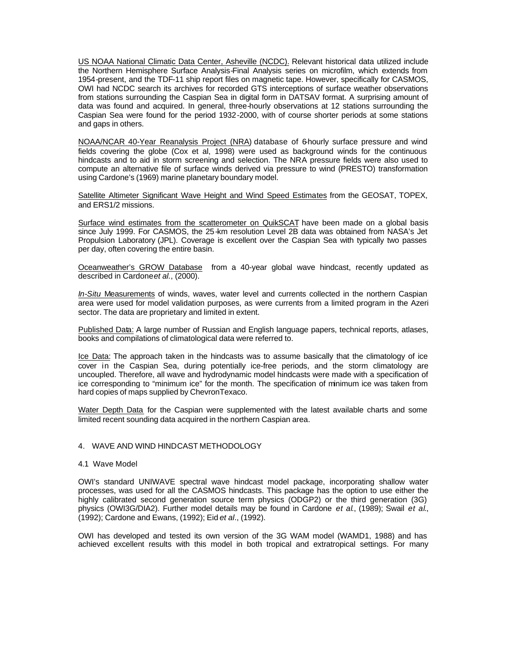US NOAA National Climatic Data Center, Asheville (NCDC). Relevant historical data utilized include the Northern Hemisphere Surface Analysis-Final Analysis series on microfilm, which extends from 1954-present, and the TDF-11 ship report files on magnetic tape. However, specifically for CASMOS, OWI had NCDC search its archives for recorded GTS interceptions of surface weather observations from stations surrounding the Caspian Sea in digital form in DATSAV format. A surprising amount of data was found and acquired. In general, three-hourly observations at 12 stations surrounding the Caspian Sea were found for the period 1932-2000, with of course shorter periods at some stations and gaps in others.

NOAA/NCAR 40-Year Reanalysis Project (NRA) database of 6-hourly surface pressure and wind fields covering the globe (Cox et al, 1998) were used as background winds for the continuous hindcasts and to aid in storm screening and selection. The NRA pressure fields were also used to compute an alternative file of surface winds derived via pressure to wind (PRESTO) transformation using Cardone's (1969) marine planetary boundary model.

Satellite Altimeter Significant Wave Height and Wind Speed Estimates from the GEOSAT, TOPEX, and ERS1/2 missions.

Surface wind estimates from the scatterometer on QuikSCAT have been made on a global basis since July 1999. For CASMOS, the 25-km resolution Level 2B data was obtained from NASA's Jet Propulsion Laboratory (JPL). Coverage is excellent over the Caspian Sea with typically two passes per day, often covering the entire basin.

Oceanweather's GROW Database from a 40-year global wave hindcast, recently updated as described in Cardone *et al.*, (2000).

*In-Situ* Measurements of winds, waves, water level and currents collected in the northern Caspian area were used for model validation purposes, as were currents from a limited program in the Azeri sector. The data are proprietary and limited in extent.

Published Data: A large number of Russian and English language papers, technical reports, atlases, books and compilations of climatological data were referred to.

Ice Data: The approach taken in the hindcasts was to assume basically that the climatology of ice cover in the Caspian Sea, during potentially ice-free periods, and the storm climatology are uncoupled. Therefore, all wave and hydrodynamic model hindcasts were made with a specification of ice corresponding to "minimum ice" for the month. The specification of minimum ice was taken from hard copies of maps supplied by ChevronTexaco.

Water Depth Data for the Caspian were supplemented with the latest available charts and some limited recent sounding data acquired in the northern Caspian area.

### 4. WAVE AND WIND HINDCAST METHODOLOGY

#### 4.1 Wave Model

OWI's standard UNIWAVE spectral wave hindcast model package, incorporating shallow water processes, was used for all the CASMOS hindcasts. This package has the option to use either the highly calibrated second generation source term physics (ODGP2) or the third generation (3G) physics (OWI3G/DIA2). Further model details may be found in Cardone *et al*., (1989); Swail *et al*., (1992); Cardone and Ewans, (1992); Eid *et al*., (1992).

OWI has developed and tested its own version of the 3G WAM model (WAMD1, 1988) and has achieved excellent results with this model in both tropical and extratropical settings. For many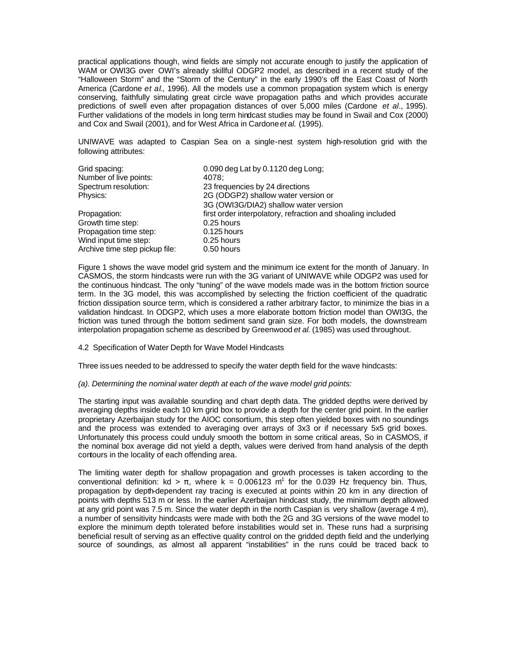practical applications though, wind fields are simply not accurate enough to justify the application of WAM or OWI3G over OWI's already skillful ODGP2 model, as described in a recent study of the "Halloween Storm" and the "Storm of the Century" in the early 1990's off the East Coast of North America (Cardone *et al*., 1996). All the models use a common propagation system which is energy conserving, faithfully simulating great circle wave propagation paths and which provides accurate predictions of swell even after propagation distances of over 5,000 miles (Cardone *et al*., 1995). Further validations of the models in long term hindcast studies may be found in Swail and Cox (2000) and Cox and Swail (2001), and for West Africa in Cardone *et al.* (1995).

UNIWAVE was adapted to Caspian Sea on a single-nest system high-resolution grid with the following attributes:

| Grid spacing:                  | 0.090 deg Lat by 0.1120 deg Long;                           |
|--------------------------------|-------------------------------------------------------------|
| Number of live points:         | 4078:                                                       |
| Spectrum resolution:           | 23 frequencies by 24 directions                             |
| Physics:                       | 2G (ODGP2) shallow water version or                         |
|                                | 3G (OWI3G/DIA2) shallow water version                       |
| Propagation:                   | first order interpolatory, refraction and shoaling included |
| Growth time step:              | 0.25 hours                                                  |
| Propagation time step:         | $0.125$ hours                                               |
| Wind input time step:          | 0.25 hours                                                  |
| Archive time step pickup file: | 0.50 hours                                                  |

Figure 1 shows the wave model grid system and the minimum ice extent for the month of January. In CASMOS, the storm hindcasts were run with the 3G variant of UNIWAVE while ODGP2 was used for the continuous hindcast. The only "tuning" of the wave models made was in the bottom friction source term. In the 3G model, this was accomplished by selecting the friction coefficient of the quadratic friction dissipation source term, which is considered a rather arbitrary factor, to minimize the bias in a validation hindcast. In ODGP2, which uses a more elaborate bottom friction model than OWI3G, the friction was tuned through the bottom sediment sand grain size. For both models, the downstream interpolation propagation scheme as described by Greenwood *et al.* (1985) was used throughout.

## 4.2 Specification of Water Depth for Wave Model Hindcasts

Three issues needed to be addressed to specify the water depth field for the wave hindcasts:

## *(a). Determining the nominal water depth at each of the wave model grid points:*

The starting input was available sounding and chart depth data. The gridded depths were derived by averaging depths inside each 10 km grid box to provide a depth for the center grid point. In the earlier proprietary Azerbaijan study for the AIOC consortium, this step often yielded boxes with no soundings and the process was extended to averaging over arrays of 3x3 or if necessary 5x5 grid boxes. Unfortunately this process could unduly smooth the bottom in some critical areas, So in CASMOS, if the nominal box average did not yield a depth, values were derived from hand analysis of the depth contours in the locality of each offending area.

The limiting water depth for shallow propagation and growth processes is taken according to the conventional definition: kd >  $\pi$ , where k = 0.006123 m<sup>1</sup> for the 0.039 Hz frequency bin. Thus, propagation by depth-dependent ray tracing is executed at points within 20 km in any direction of points with depths 513 m or less. In the earlier Azerbaijan hindcast study, the minimum depth allowed at any grid point was 7.5 m. Since the water depth in the north Caspian is very shallow (average 4 m), a number of sensitivity hindcasts were made with both the 2G and 3G versions of the wave model to explore the minimum depth tolerated before instabilities would set in. These runs had a surprising beneficial result of serving as an effective quality control on the gridded depth field and the underlying source of soundings, as almost all apparent "instabilities" in the runs could be traced back to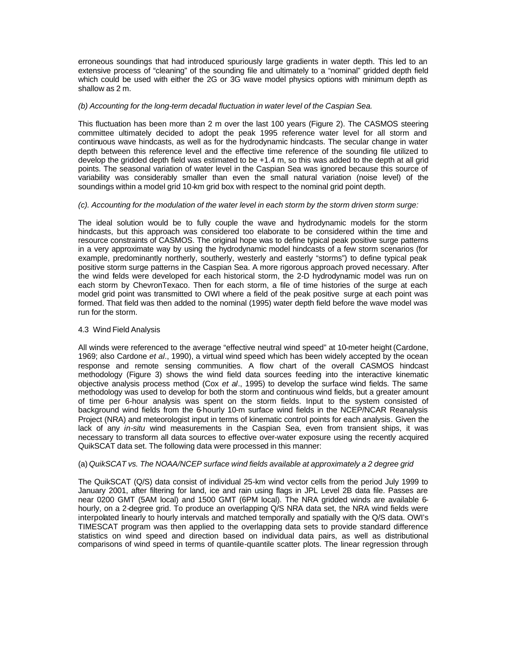erroneous soundings that had introduced spuriously large gradients in water depth. This led to an extensive process of "cleaning" of the sounding file and ultimately to a "nominal" gridded depth field which could be used with either the 2G or 3G wave model physics options with minimum depth as shallow as 2 m.

## *(b) Accounting for the long-term decadal fluctuation in water level of the Caspian Sea.*

This fluctuation has been more than 2 m over the last 100 years (Figure 2). The CASMOS steering committee ultimately decided to adopt the peak 1995 reference water level for all storm and continuous wave hindcasts, as well as for the hydrodynamic hindcasts. The secular change in water depth between this reference level and the effective time reference of the sounding file utilized to develop the gridded depth field was estimated to be +1.4 m, so this was added to the depth at all grid points. The seasonal variation of water level in the Caspian Sea was ignored because this source of variability was considerably smaller than even the small natural variation (noise level) of the soundings within a model grid 10-km grid box with respect to the nominal grid point depth.

## *(c). Accounting for the modulation of the water level in each storm by the storm driven storm surge:*

The ideal solution would be to fully couple the wave and hydrodynamic models for the storm hindcasts, but this approach was considered too elaborate to be considered within the time and resource constraints of CASMOS. The original hope was to define typical peak positive surge patterns in a very approximate way by using the hydrodynamic model hindcasts of a few storm scenarios (for example, predominantly northerly, southerly, westerly and easterly "storms") to define typical peak positive storm surge patterns in the Caspian Sea. A more rigorous approach proved necessary. After the wind fields were developed for each historical storm, the 2-D hydrodynamic model was run on each storm by ChevronTexaco. Then for each storm, a file of time histories of the surge at each model grid point was transmitted to OWI where a field of the peak positive surge at each point was formed. That field was then added to the nominal (1995) water depth field before the wave model was run for the storm.

## 4.3 Wind Field Analysis

All winds were referenced to the average "effective neutral wind speed" at 10-meter height (Cardone, 1969; also Cardone *et al*., 1990), a virtual wind speed which has been widely accepted by the ocean response and remote sensing communities. A flow chart of the overall CASMOS hindcast methodology (Figure 3) shows the wind field data sources feeding into the interactive kinematic objective analysis process method (Cox *et al*., 1995) to develop the surface wind fields. The same methodology was used to develop for both the storm and continuous wind fields, but a greater amount of time per 6-hour analysis was spent on the storm fields. Input to the system consisted of background wind fields from the 6-hourly 10-m surface wind fields in the NCEP/NCAR Reanalysis Project (NRA) and meteorologist input in terms of kinematic control points for each analysis. Given the lack of any *in-situ* wind measurements in the Caspian Sea, even from transient ships, it was necessary to transform all data sources to effective over-water exposure using the recently acquired QuikSCAT data set. The following data were processed in this manner:

## (a) *QuikSCAT vs. The NOAA/NCEP surface wind fields available at approximately a 2 degree grid*

The QuikSCAT (Q/S) data consist of individual 25-km wind vector cells from the period July 1999 to January 2001, after filtering for land, ice and rain using flags in JPL Level 2B data file. Passes are near 0200 GMT (5AM local) and 1500 GMT (6PM local). The NRA gridded winds are available 6 hourly, on a 2-degree grid. To produce an overlapping Q/S NRA data set, the NRA wind fields were interpolated linearly to hourly intervals and matched temporally and spatially with the Q/S data. OWI's TIMESCAT program was then applied to the overlapping data sets to provide standard difference statistics on wind speed and direction based on individual data pairs, as well as distributional comparisons of wind speed in terms of quantile-quantile scatter plots. The linear regression through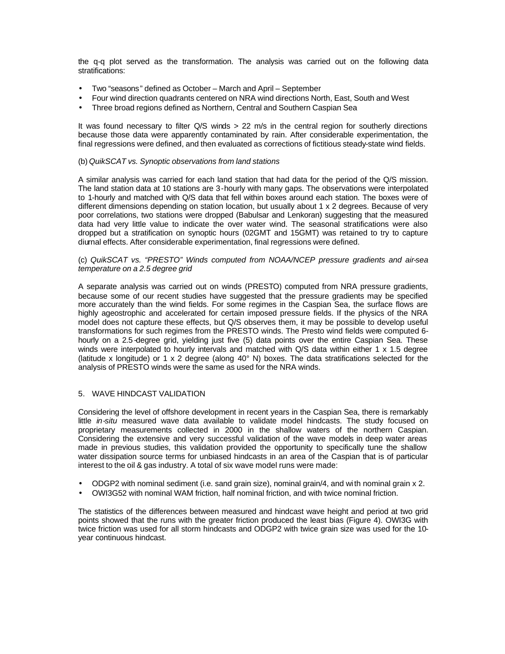the q-q plot served as the transformation. The analysis was carried out on the following data stratifications:

- Two "seasons" defined as October March and April September
- Four wind direction quadrants centered on NRA wind directions North, East, South and West
- Three broad regions defined as Northern, Central and Southern Caspian Sea

It was found necessary to filter Q/S winds > 22 m/s in the central region for southerly directions because those data were apparently contaminated by rain. After considerable experimentation, the final regressions were defined, and then evaluated as corrections of fictitious steady-state wind fields.

## (b) *QuikSCAT vs. Synoptic observations from land stations*

A similar analysis was carried for each land station that had data for the period of the Q/S mission. The land station data at 10 stations are 3-hourly with many gaps. The observations were interpolated to 1-hourly and matched with Q/S data that fell within boxes around each station. The boxes were of different dimensions depending on station location, but usually about 1 x 2 degrees. Because of very poor correlations, two stations were dropped (Babulsar and Lenkoran) suggesting that the measured data had very little value to indicate the over water wind. The seasonal stratifications were also dropped but a stratification on synoptic hours (02GMT and 15GMT) was retained to try to capture diurnal effects. After considerable experimentation, final regressions were defined.

## (c) *QuikSCAT vs. "PRESTO" Winds computed from NOAA/NCEP pressure gradients and air-sea temperature on a 2.5 degree grid*

A separate analysis was carried out on winds (PRESTO) computed from NRA pressure gradients, because some of our recent studies have suggested that the pressure gradients may be specified more accurately than the wind fields. For some regimes in the Caspian Sea, the surface flows are highly ageostrophic and accelerated for certain imposed pressure fields. If the physics of the NRA model does not capture these effects, but Q/S observes them, it may be possible to develop useful transformations for such regimes from the PRESTO winds. The Presto wind fields were computed 6 hourly on a 2.5 -degree grid, yielding just five (5) data points over the entire Caspian Sea. These winds were interpolated to hourly intervals and matched with Q/S data within either 1 x 1.5 degree (latitude x longitude) or 1 x 2 degree (along 40° N) boxes. The data stratifications selected for the analysis of PRESTO winds were the same as used for the NRA winds.

## 5. WAVE HINDCAST VALIDATION

Considering the level of offshore development in recent years in the Caspian Sea, there is remarkably little *in-situ* measured wave data available to validate model hindcasts. The study focused on proprietary measurements collected in 2000 in the shallow waters of the northern Caspian. Considering the extensive and very successful validation of the wave models in deep water areas made in previous studies, this validation provided the opportunity to specifically tune the shallow water dissipation source terms for unbiased hindcasts in an area of the Caspian that is of particular interest to the oil & gas industry. A total of six wave model runs were made:

- ODGP2 with nominal sediment (i.e. sand grain size), nominal grain/4, and with nominal grain x 2.
- OWI3G52 with nominal WAM friction, half nominal friction, and with twice nominal friction.

The statistics of the differences between measured and hindcast wave height and period at two grid points showed that the runs with the greater friction produced the least bias (Figure 4). OWI3G with twice friction was used for all storm hindcasts and ODGP2 with twice grain size was used for the 10 year continuous hindcast.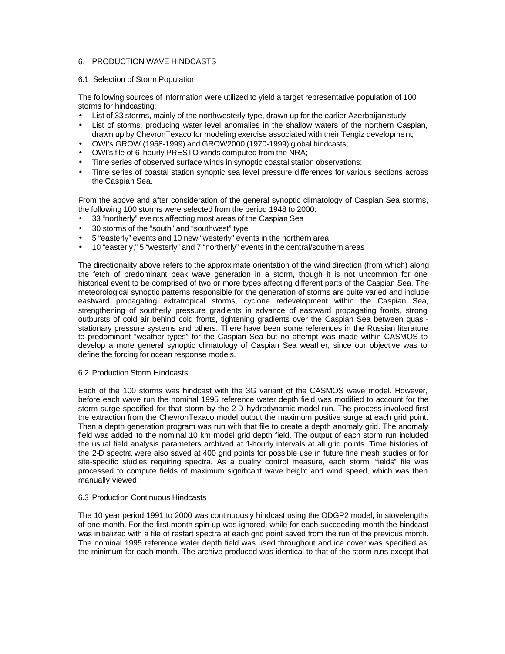## 6. PRODUCTION WAVE HINDCASTS

## 6.1 Selection of Storm Population

The following sources of information were utilized to yield a target representative population of 100 storms for hindcasting:

- List of 33 storms, mainly of the northwesterly type, drawn up for the earlier Azerbaijan study.
- List of storms, producing water level anomalies in the shallow waters of the northern Caspian, drawn up by ChevronTexaco for modeling exercise associated with their Tengiz development;
- OWI's GROW (1958-1999) and GROW2000 (1970-1999) global hindcasts;
- OWI's file of 6-hourly PRESTO winds computed from the NRA;
- Time series of observed surface winds in synoptic coastal station observations;
- Time series of coastal station synoptic sea level pressure differences for various sections across the Caspian Sea.

From the above and after consideration of the general synoptic climatology of Caspian Sea storms, the following 100 storms were selected from the period 1948 to 2000:

- 33 "northerly" events affecting most areas of the Caspian Sea
- 30 storms of the "south" and "southwest" type
- 5 "easterly" events and 10 new "westerly" events in the northern area
- 10 "easterly," 5 "westerly" and 7 "northerly" events in the central/southern areas

The directionality above refers to the approximate orientation of the wind direction (from which) along the fetch of predominant peak wave generation in a storm, though it is not uncommon for one historical event to be comprised of two or more types affecting different parts of the Caspian Sea. The meteorological synoptic patterns responsible for the generation of storms are quite varied and include eastward propagating extratropical storms, cyclone redevelopment within the Caspian Sea, strengthening of southerly pressure gradients in advance of eastward propagating fronts, strong outbursts of cold air behind cold fronts, tightening gradients over the Caspian Sea between quasistationary pressure systems and others. There have been some references in the Russian literature to predominant "weather types" for the Caspian Sea but no attempt was made within CASMOS to develop a more general synoptic climatology of Caspian Sea weather, since our objective was to define the forcing for ocean response models.

## 6.2 Production Storm Hindcasts

Each of the 100 storms was hindcast with the 3G variant of the CASMOS wave model. However, before each wave run the nominal 1995 reference water depth field was modified to account for the storm surge specified for that storm by the 2-D hydrodynamic model run. The process involved first the extraction from the ChevronTexaco model output the maximum positive surge at each grid point. Then a depth generation program was run with that file to create a depth anomaly grid. The anomaly field was added to the nominal 10 km model grid depth field. The output of each storm run included the usual field analysis parameters archived at 1-hourly intervals at all grid points. Time histories of the 2-D spectra were also saved at 400 grid points for possible use in future fine mesh studies or for site-specific studies requiring spectra. As a quality control measure, each storm "fields" file was processed to compute fields of maximum significant wave height and wind speed, which was then manually viewed.

## 6.3 Production Continuous Hindcasts

The 10 year period 1991 to 2000 was continuously hindcast using the ODGP2 model, in stovelengths of one month. For the first month spin-up was ignored, while for each succeeding month the hindcast was initialized with a file of restart spectra at each grid point saved from the run of the previous month. The nominal 1995 reference water depth field was used throughout and ice cover was specified as the minimum for each month. The archive produced was identical to that of the storm runs except that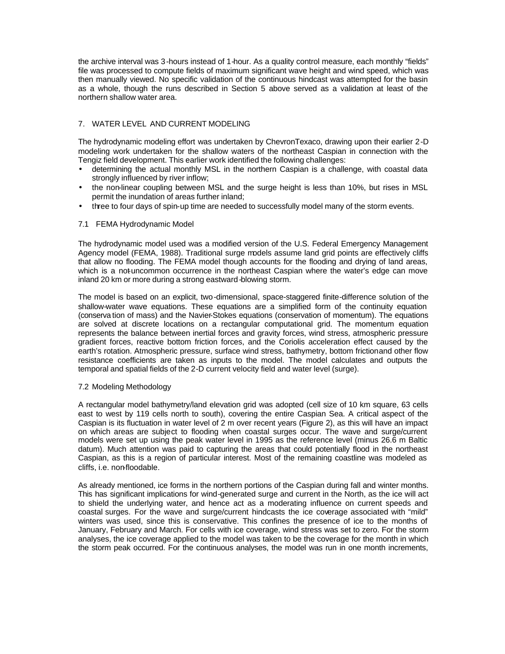the archive interval was 3-hours instead of 1-hour. As a quality control measure, each monthly "fields" file was processed to compute fields of maximum significant wave height and wind speed, which was then manually viewed. No specific validation of the continuous hindcast was attempted for the basin as a whole, though the runs described in Section 5 above served as a validation at least of the northern shallow water area.

# 7. WATER LEVEL AND CURRENT MODELING

The hydrodynamic modeling effort was undertaken by ChevronTexaco, drawing upon their earlier 2-D modeling work undertaken for the shallow waters of the northeast Caspian in connection with the Tengiz field development. This earlier work identified the following challenges:

- determining the actual monthly MSL in the northern Caspian is a challenge, with coastal data strongly influenced by river inflow;
- the non-linear coupling between MSL and the surge height is less than 10%, but rises in MSL permit the inundation of areas further inland;
- three to four days of spin-up time are needed to successfully model many of the storm events.

# 7.1 FEMA Hydrodynamic Model

The hydrodynamic model used was a modified version of the U.S. Federal Emergency Management Agency model (FEMA, 1988). Traditional surge models assume land grid points are effectively cliffs that allow no flooding. The FEMA model though accounts for the flooding and drying of land areas, which is a not-uncommon occurrence in the northeast Caspian where the water's edge can move inland 20 km or more during a strong eastward-blowing storm.

The model is based on an explicit, two-dimensional, space-staggered finite-difference solution of the shallow-water wave equations. These equations are a simplified form of the continuity equation (conserva tion of mass) and the Navier-Stokes equations (conservation of momentum). The equations are solved at discrete locations on a rectangular computational grid. The momentum equation represents the balance between inertial forces and gravity forces, wind stress, atmospheric pressure gradient forces, reactive bottom friction forces, and the Coriolis acceleration effect caused by the earth's rotation. Atmospheric pressure, surface wind stress, bathymetry, bottom frictionand other flow resistance coefficients are taken as inputs to the model. The model calculates and outputs the temporal and spatial fields of the 2-D current velocity field and water level (surge).

## 7.2 Modeling Methodology

A rectangular model bathymetry/land elevation grid was adopted (cell size of 10 km square, 63 cells east to west by 119 cells north to south), covering the entire Caspian Sea. A critical aspect of the Caspian is its fluctuation in water level of 2 m over recent years (Figure 2), as this will have an impact on which areas are subject to flooding when coastal surges occur. The wave and surge/current models were set up using the peak water level in 1995 as the reference level (minus 26.6 m Baltic datum). Much attention was paid to capturing the areas that could potentially flood in the northeast Caspian, as this is a region of particular interest. Most of the remaining coastline was modeled as cliffs, i.e. non-floodable.

As already mentioned, ice forms in the northern portions of the Caspian during fall and winter months. This has significant implications for wind-generated surge and current in the North, as the ice will act to shield the underlying water, and hence act as a moderating influence on current speeds and coastal surges. For the wave and surge/current hindcasts the ice coverage associated with "mild" winters was used, since this is conservative. This confines the presence of ice to the months of January, February and March. For cells with ice coverage, wind stress was set to zero. For the storm analyses, the ice coverage applied to the model was taken to be the coverage for the month in which the storm peak occurred. For the continuous analyses, the model was run in one month increments,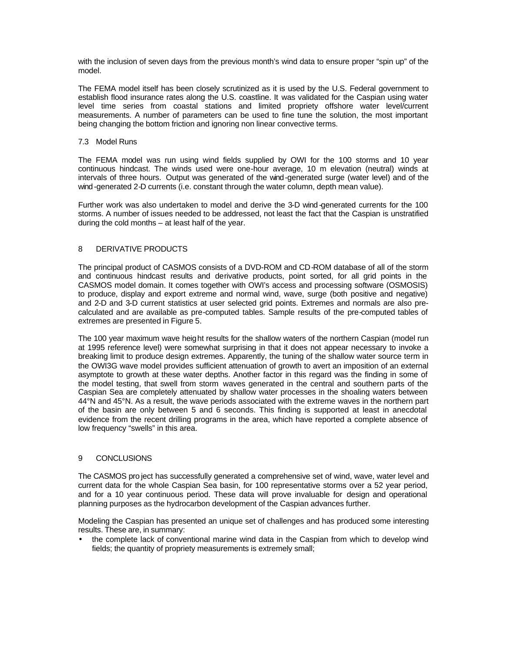with the inclusion of seven days from the previous month's wind data to ensure proper "spin up" of the model.

The FEMA model itself has been closely scrutinized as it is used by the U.S. Federal government to establish flood insurance rates along the U.S. coastline. It was validated for the Caspian using water level time series from coastal stations and limited propriety offshore water level/current measurements. A number of parameters can be used to fine tune the solution, the most important being changing the bottom friction and ignoring non linear convective terms.

## 7.3 Model Runs

The FEMA model was run using wind fields supplied by OWI for the 100 storms and 10 year continuous hindcast. The winds used were one-hour average, 10 m elevation (neutral) winds at intervals of three hours. Output was generated of the wind-generated surge (water level) and of the wind-generated 2-D currents (i.e. constant through the water column, depth mean value).

Further work was also undertaken to model and derive the 3-D wind -generated currents for the 100 storms. A number of issues needed to be addressed, not least the fact that the Caspian is unstratified during the cold months – at least half of the year.

## 8 DERIVATIVE PRODUCTS

The principal product of CASMOS consists of a DVD-ROM and CD-ROM database of all of the storm and continuous hindcast results and derivative products, point sorted, for all grid points in the CASMOS model domain. It comes together with OWI's access and processing software (OSMOSIS) to produce, display and export extreme and normal wind, wave, surge (both positive and negative) and 2-D and 3-D current statistics at user selected grid points. Extremes and normals are also precalculated and are available as pre-computed tables. Sample results of the pre-computed tables of extremes are presented in Figure 5.

The 100 year maximum wave height results for the shallow waters of the northern Caspian (model run at 1995 reference level) were somewhat surprising in that it does not appear necessary to invoke a breaking limit to produce design extremes. Apparently, the tuning of the shallow water source term in the OWI3G wave model provides sufficient attenuation of growth to avert an imposition of an external asymptote to growth at these water depths. Another factor in this regard was the finding in some of the model testing, that swell from storm waves generated in the central and southern parts of the Caspian Sea are completely attenuated by shallow water processes in the shoaling waters between 44°N and 45°N. As a result, the wave periods associated with the extreme waves in the northern part of the basin are only between 5 and 6 seconds. This finding is supported at least in anecdotal evidence from the recent drilling programs in the area, which have reported a complete absence of low frequency "swells" in this area.

## 9 CONCLUSIONS

The CASMOS pro ject has successfully generated a comprehensive set of wind, wave, water level and current data for the whole Caspian Sea basin, for 100 representative storms over a 52 year period, and for a 10 year continuous period. These data will prove invaluable for design and operational planning purposes as the hydrocarbon development of the Caspian advances further.

Modeling the Caspian has presented an unique set of challenges and has produced some interesting results. These are, in summary:

• the complete lack of conventional marine wind data in the Caspian from which to develop wind fields; the quantity of propriety measurements is extremely small;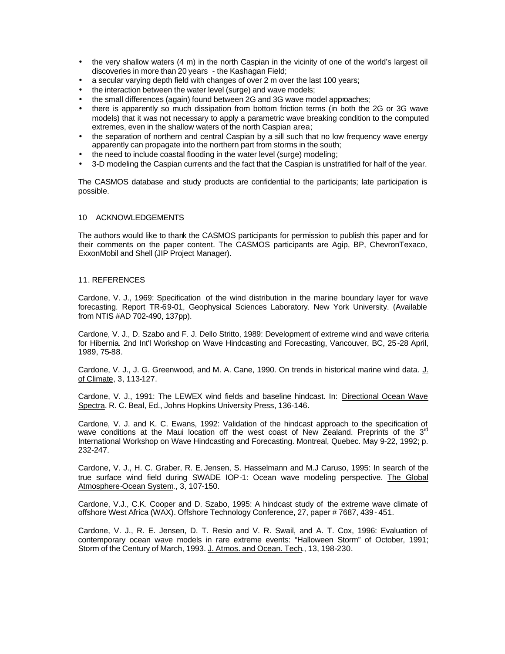- the very shallow waters (4 m) in the north Caspian in the vicinity of one of the world's largest oil discoveries in more than 20 years - the Kashagan Field;
- a secular varying depth field with changes of over 2 m over the last 100 years;
- the interaction between the water level (surge) and wave models;
- the small differences (again) found between 2G and 3G wave model approaches;
- there is apparently so much dissipation from bottom friction terms (in both the 2G or 3G wave models) that it was not necessary to apply a parametric wave breaking condition to the computed extremes, even in the shallow waters of the north Caspian area;
- the separation of northern and central Caspian by a sill such that no low frequency wave energy apparently can propagate into the northern part from storms in the south;
- the need to include coastal flooding in the water level (surge) modeling;
- 3-D modeling the Caspian currents and the fact that the Caspian is unstratified for half of the year.

The CASMOS database and study products are confidential to the participants; late participation is possible.

## 10 ACKNOWLEDGEMENTS

The authors would like to thank the CASMOS participants for permission to publish this paper and for their comments on the paper content. The CASMOS participants are Agip, BP, ChevronTexaco, ExxonMobil and Shell (JIP Project Manager).

## 11. REFERENCES

Cardone, V. J., 1969: Specification of the wind distribution in the marine boundary layer for wave forecasting. Report TR-69-01, Geophysical Sciences Laboratory. New York University. (Available from NTIS #AD 702-490, 137pp).

Cardone, V. J., D. Szabo and F. J. Dello Stritto, 1989: Development of extreme wind and wave criteria for Hibernia. 2nd Int'l Workshop on Wave Hindcasting and Forecasting, Vancouver, BC, 25-28 April, 1989, 75-88.

Cardone, V. J., J. G. Greenwood, and M. A. Cane, 1990. On trends in historical marine wind data. J. of Climate, 3, 113-127.

Cardone, V. J., 1991: The LEWEX wind fields and baseline hindcast. In: Directional Ocean Wave Spectra. R. C. Beal, Ed., Johns Hopkins University Press, 136-146.

Cardone, V. J. and K. C. Ewans, 1992: Validation of the hindcast approach to the specification of wave conditions at the Maui location off the west coast of New Zealand. Preprints of the  $3<sup>rd</sup>$ International Workshop on Wave Hindcasting and Forecasting. Montreal, Quebec. May 9-22, 1992; p. 232-247.

Cardone, V. J., H. C. Graber, R. E. Jensen, S. Hasselmann and M.J Caruso, 1995: In search of the true surface wind field during SWADE IOP-1: Ocean wave modeling perspective. The Global Atmosphere-Ocean System., 3, 107-150.

Cardone, V.J., C.K. Cooper and D. Szabo, 1995: A hindcast study of the extreme wave climate of offshore West Africa (WAX). Offshore Technology Conference, 27, paper # 7687, 439 - 451.

Cardone, V. J., R. E. Jensen, D. T. Resio and V. R. Swail, and A. T. Cox, 1996: Evaluation of contemporary ocean wave models in rare extreme events: "Halloween Storm" of October, 1991; Storm of the Century of March, 1993. J. Atmos. and Ocean. Tech., 13, 198-230.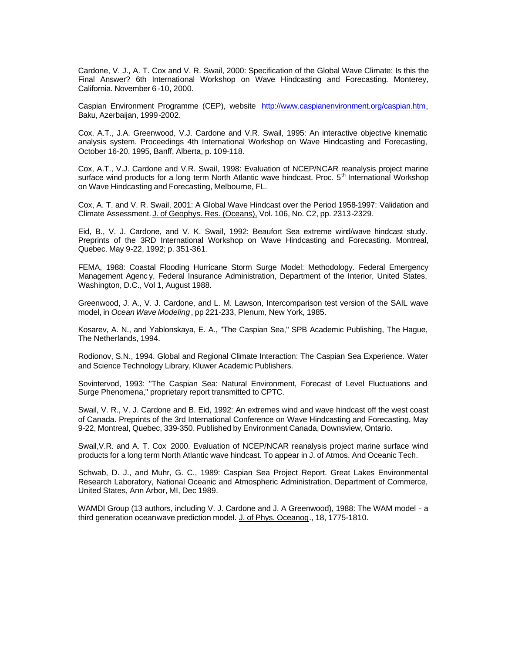Cardone, V. J., A. T. Cox and V. R. Swail, 2000: Specification of the Global Wave Climate: Is this the Final Answer? 6th International Workshop on Wave Hindcasting and Forecasting. Monterey, California. November 6 -10, 2000.

Caspian Environment Programme (CEP), website http://www.caspianenvironment.org/caspian.htm, Baku, Azerbaijan, 1999-2002.

Cox, A.T., J.A. Greenwood, V.J. Cardone and V.R. Swail, 1995: An interactive objective kinematic analysis system. Proceedings 4th International Workshop on Wave Hindcasting and Forecasting, October 16-20, 1995, Banff, Alberta, p. 109-118.

Cox, A.T., V.J. Cardone and V.R. Swail, 1998: Evaluation of NCEP/NCAR reanalysis project marine surface wind products for a long term North Atlantic wave hindcast. Proc. 5<sup>th</sup> International Workshop on Wave Hindcasting and Forecasting, Melbourne, FL.

Cox, A. T. and V. R. Swail, 2001: A Global Wave Hindcast over the Period 1958-1997: Validation and Climate Assessment. J. of Geophys. Res. (Oceans), Vol. 106, No. C2, pp. 2313-2329.

Eid, B., V. J. Cardone, and V. K. Swail, 1992: Beaufort Sea extreme wind/wave hindcast study. Preprints of the 3RD International Workshop on Wave Hindcasting and Forecasting. Montreal, Quebec. May 9-22, 1992; p. 351-361.

FEMA, 1988: Coastal Flooding Hurricane Storm Surge Model: Methodology. Federal Emergency Management Agenc y, Federal Insurance Administration, Department of the Interior, United States, Washington, D.C., Vol 1, August 1988.

Greenwood, J. A., V. J. Cardone, and L. M. Lawson, Intercomparison test version of the SAIL wave model, in *Ocean Wave Modeling*, pp 221-233, Plenum, New York, 1985.

Kosarev, A. N., and Yablonskaya, E. A., "The Caspian Sea," SPB Academic Publishing, The Hague, The Netherlands, 1994.

Rodionov, S.N., 1994. Global and Regional Climate Interaction: The Caspian Sea Experience. Water and Science Technology Library, Kluwer Academic Publishers.

Sovintervod, 1993: "The Caspian Sea: Natural Environment, Forecast of Level Fluctuations and Surge Phenomena," proprietary report transmitted to CPTC.

Swail, V. R., V. J. Cardone and B. Eid, 1992: An extremes wind and wave hindcast off the west coast of Canada. Preprints of the 3rd International Conference on Wave Hindcasting and Forecasting, May 9-22, Montreal, Quebec, 339-350. Published by Environment Canada, Downsview, Ontario.

Swail,V.R. and A. T. Cox 2000. Evaluation of NCEP/NCAR reanalysis project marine surface wind products for a long term North Atlantic wave hindcast. To appear in J. of Atmos. And Oceanic Tech.

Schwab, D. J., and Muhr, G. C., 1989: Caspian Sea Project Report. Great Lakes Environmental Research Laboratory, National Oceanic and Atmospheric Administration, Department of Commerce, United States, Ann Arbor, MI, Dec 1989.

WAMDI Group (13 authors, including V. J. Cardone and J. A Greenwood), 1988: The WAM model - a third generation oceanwave prediction model. J. of Phys. Oceanog., 18, 1775-1810.